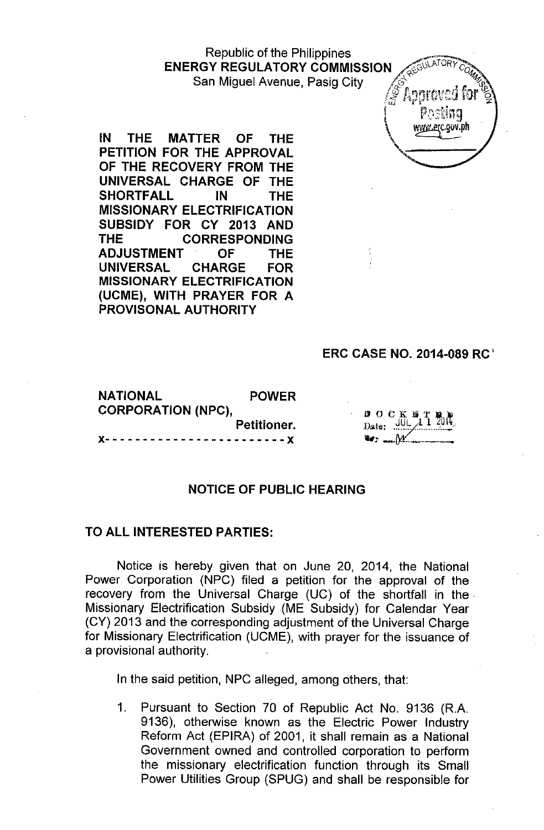### Republic of the Philippines **ENERGY REGULATORY COMMISSION** San Miguel Avenue, Pasig City

**IN THE MATTER OF THE PETITION FOR THE APPROVAL OF THE RECOVERY FROM THE UNIVERSAL CHARGE OF THE SHORTFALL IN THE MISSIONARY ELECTRIFICATION SUBSIDY FOR CY 2013 AND THE CORRESPONDING ADJUSTMENT OF THE UNIVERSAL CHARGE FOR MISSIONARY ELECTRIFICATION (UCME), WITH PRAYER FOR A PROVISONAL AUTHORITY**



### **ERC CASE NO. 2014-089 RC <sup>I</sup>**

| <b>NATIONAL</b>                    | <b>POWER</b> |  |  |  |
|------------------------------------|--------------|--|--|--|
| <b>CORPORATION (NPC),</b>          |              |  |  |  |
|                                    | Petitioner.  |  |  |  |
| X------------------------ <b>X</b> |              |  |  |  |

| k, | P.<br>0 C K S       |
|----|---------------------|
|    | Date: $\frac{1}{2}$ |
|    |                     |

### **NOTICE OF PUBLIC HEARING**

#### **TO ALL INTERESTED PARTIES:**

Notice is hereby given that on June 20, 2014, the National Power Corporation (NPC) filed a petition for the approval of the recovery from the Universal Charge (UC) of the shortfall in the Missionary Electrification Subsidy (ME Subsidy) for Calendar Year (CY) 2013 and the corresponding adjustment of the Universal Charge for Missionary Electrification (UCME), with prayer for the issuance of a provisional authority.

In the said petition, NPC alleged, among others, that:

1. Pursuant to Section 70 of Republic Act No. 9136 (R.A. 9136), otherwise known as the Electric Power Industry Reform Act (EPIRA) of 2001, it shall remain as a National Government owned and controlled corporation to perform the missionary electrification function through its Small Power Utilities Group (SPUG) and shall be responsible for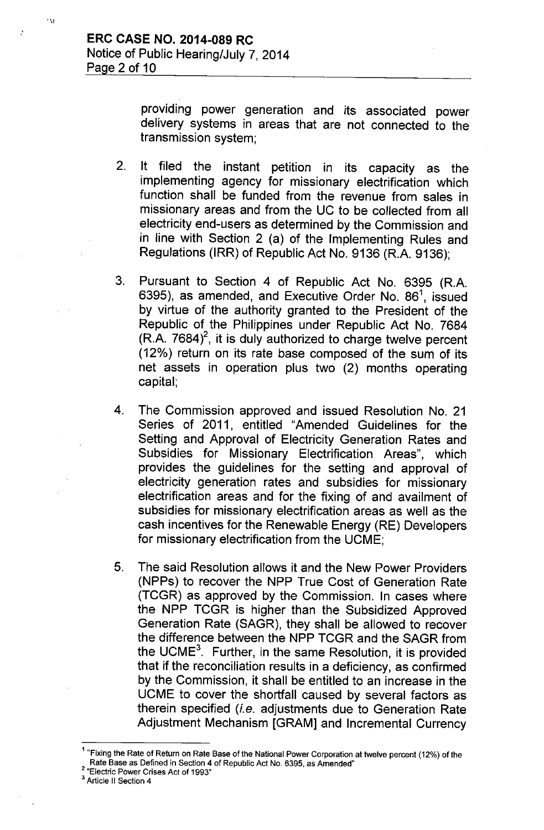:

 $, \cdot \, \cdot \,$ 

providing power generation and its associated power delivery systems in areas that are not connected to the transmission system;

- 2. It filed the instant petition in its capacity as the implementing agency for missionary electrification which function shall be funded from the revenue from sales in missionary areas and from the UC to be collected from all electricity end-users as determined by the Commission and in line with Section 2 (a) of the Implementing Rules and Regulations (IRR) of Republic Act No. 9136 (R.A. 9136);
- 3. Pursuant to Section 4 of Republic Act No. <sup>6395</sup> (R.A. 6395), as amended, and Executive Order No.  $86^1$ , issued by virtue of the authority granted to the President of the Republic of the Philippines under Republic Act No. 7684  $(R.A. 7684)^2$ , it is duly authorized to charge twelve percent (12%) return on its rate base composed of the sum of its net assets in operation plus two (2) months operating capital;
- 4. The Commission approved and issued Resolution No. 21 Series of 2011, entitled "Amended Guidelines for the Setting and Approval of Electricity Generation Rates and Subsidies for Missionary Electrification Areas", which provides the guidelines for the setting and approval of electricity generation rates and subsidies for missionary electrification areas and for the fixing of and availment of subsidies for missionary electrification areas as well as the cash incentives for the Renewable Energy (RE) Developers for missionary electrification from the UCME;
- 5. The said Resolution allows it and the New Power Providers (NPPs) to recover the NPP True Cost of Generation Rate (TCGR) as approved by the Commission. In cases where the NPP TCGR is higher than the Subsidized Approved Generation Rate (SAGR), they shall be allowed to recover the difference between the NPP TCGR and the SAGR from the UCME $<sup>3</sup>$ . Further, in the same Resolution, it is provided</sup> that if the reconciliation results in a deficiency, as confirmed by the Commission, it shall be entitled to an increase in the UCME to cover the shortfall caused by several factors as therein specified *(i.e.* adjustments due to Generation Rate Adjustment Mechanism [GRAM] and Incremental Currency

<sup>&</sup>lt;sup>1</sup> "Fixing the Rate of Return on Rate Base of the National Power Corporation at twelve percent (12%) of the Rate Base as Defined in Section 4 of Republic Act No. 6395. as Amended"

<sup>2</sup> "Electric Power Crises Act of 1993"

<sup>&</sup>lt;sup>3</sup> Article II Section 4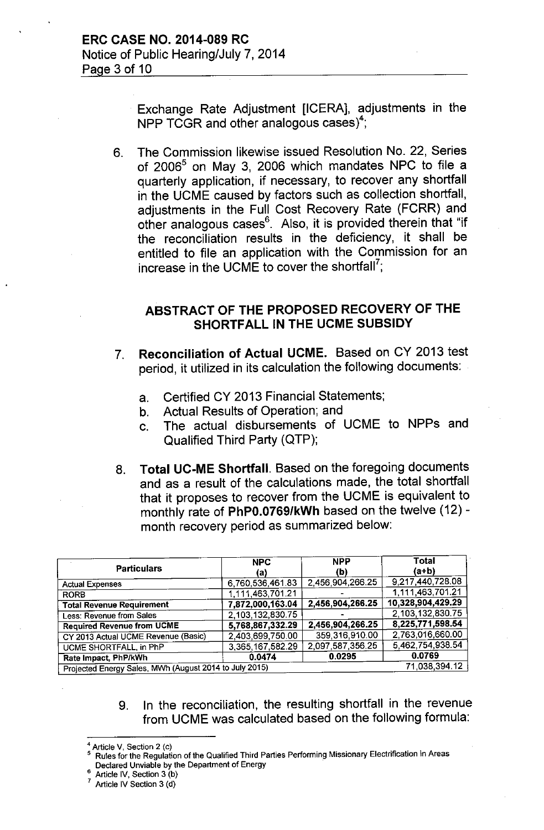Exchange Rate Adjustment [ICERA], adjustments in the NPP TCGR and other analogous cases)<sup>4</sup>;

6. The Commission likewise issued Resolution No. 22, Series of 2006<sup>5</sup> on May 3, 2006 which mandates NPC to file a quarterly application, if necessary, to recover any shortfall in the UCME caused by factors such as collection shortfall, adjustments in the Full Cost Recovery Rate (FCRR) and other analogous cases<sup>6</sup>. Also, it is provided therein that "if the reconciliation results in the deficiency, it shall be entitled to file an application with the Commission for an increase in the UCME to cover the shortfall?;

## ABSTRACT OF THE PROPOSED RECOVERY OF THE SHORTFALL IN THE UCME SUBSIDY

- 7. Reconciliation of Actual UCME. Based on CY 2013 test period, it utilized in its calculation the following documents:
	- a. Certified CY 2013 Financial Statements;
	- b. Actual Results of Operation; and
	- c. The actual disbursements of UCME to NPPs and Qualified Third Party (QTP);
- 8. Total UC-ME Shortfall. Based on the foregoing documents and as a result of the calculations made, the total shortfall that it proposes to recover from the UCME is equivalent to monthly rate of PhPO.0769/kWh based on the twelve (12) month recovery period as summarized below:

| <b>Particulars</b>                                     | <b>NPC</b><br>(a) | <b>NPP</b><br>(b) | Total<br>(a+b)    |
|--------------------------------------------------------|-------------------|-------------------|-------------------|
| <b>Actual Expenses</b>                                 | 6,760,536,461.83  | 2,456,904,266.25  | 9,217,440,728.08  |
| <b>RORB</b>                                            | 1,111,463,701.21  |                   | 1,111,463,701.21  |
| <b>Total Revenue Requirement</b>                       | 7,872,000,163.04  | 2,456,904,266.25  | 10,328,904,429.29 |
| Less: Revenue from Sales                               | 2,103,132,830.75  |                   | 2.103.132.830.75  |
| <b>Required Revenue from UCME</b>                      | 5,768,867,332.29  | 2,456,904,266.25  | 8,225,771,598.54  |
| CY 2013 Actual UCME Revenue (Basic)                    | 2,403,699,750.00  | 359,316,910.00    | 2,763,016,660.00  |
| UCME SHORTFALL, in PhP                                 | 3,365,167,582.29  | 2,097,587,356.25  | 5,462,754,938.54  |
| Rate Impact, PhP/kWh                                   | 0.0474            | 0.0295            | 0.0769            |
| Projected Energy Sales, MWh (August 2014 to July 2015) | 71,038,394.12     |                   |                   |

9. In the reconciliation, the resulting shortfall in the revenue from UCME was calculated based on the following formula:

- 5 Rules for the Regulation of the Qualified Third Parties Performing Missionary Electrification in Areas Declared Unviable by the Department of Energy .
- Article IV, Section 3 (b)

Article V, Section 2 (c)

Article IV Section 3 (d)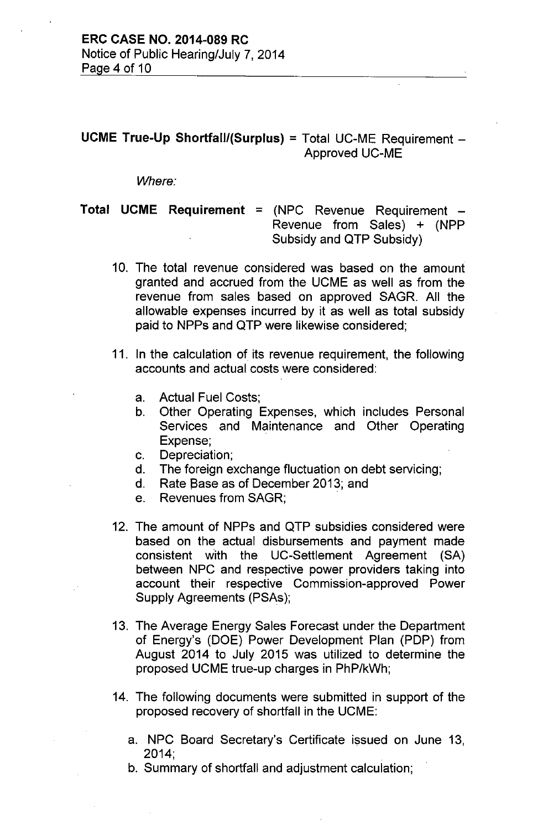# **UCME True-Up Shortfall/(Surplus)** = Total UC-ME Requirement - Approved UC-ME

*Where:*

**Total UCME Requirement** = (NPC Revenue Requirement - Revenue from Sales) + (NPP Subsidy and QTP Subsidy)

- 10. The total revenue considered was based on the amount granted and accrued from the UCME as well as from the revenue from sales based on approved SAGR. All the allowable expenses incurred by it as well as total subsidy paid to NPPs and QTP were likewise considered;
- 11. In the calculation of its revenue requirement, the following accounts and actual costs were considered:
	- a. Actual Fuel Costs;
	- b. Other Operating Expenses, which includes Personal Services and Maintenance and Other Operating Expense;
	- c. Depreciation;
	- d. The foreign exchange fluctuation on debt servicing;
	- d. Rate Sase as of December 2013; and
	- e. Revenues from SAGR;
- 12. The amount of NPPs and QTP subsidies considered were based on the actual disbursements and payment made consistent with the UC-Settlement Agreement (SA) between NPC and respective power providers taking into account their respective Commission-approved Power Supply Agreements (PSAs);
- 13. The Average Energy Sales Forecast under the Department of Energy's (DOE) Power Development Plan (PDP) from August 2014 to July 2015 was utilized to determine the proposed UCME true-up charges in PhP/kWh;
- 14. The following documents were submitted in support of the proposed recovery of shortfall in the UCME:
	- a. NPC Board Secretary's Certificate issued on June 13, 2014;
	- b. Summary of shortfall and adjustment calculation;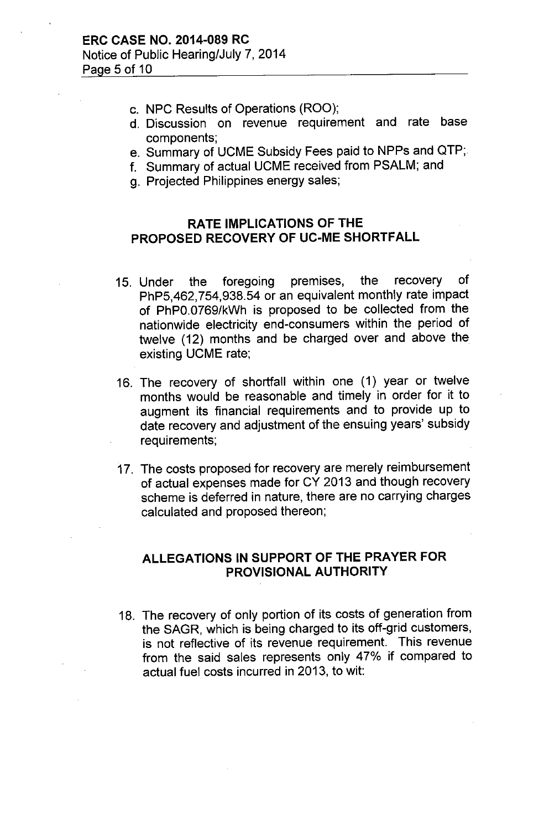- c. NPC Results of Operations (ROO);
- d. Discussion on revenue requirement and rate base components;
- e. Summary of UCME Subsidy Fees paid to NPPs and QTP;
- f. Summary of actual UCME received from PSALM; and
- g. Projected Philippines energy sales;

### **RATE IMPLICATIONS OF THE PROPOSED RECOVERY OF UC-ME SHORTFALL**

- 15. Under the foregoing premises, the recovery of PhP5,462,754,938.54 or an equivalent monthly rate impact of PhPO.0769/kWh is proposed to be collected from the nationwide electricity end-consumers within the period of twelve (12) months and be charged over and above the existing UCME rate;
- 16. The recovery of shortfall within one (1) year or twelve months would be reasonable and timely in order for it to augment its financial requirements and to provide up to date recovery and adjustment of the ensuing years' subsidy requirements;
- 17. The costs proposed for recovery are merely reimbursement of actual expenses made for CY 2013 and though recovery scheme is deferred in nature, there are no carrying charges calculated and proposed thereon;

# **ALLEGATIONS IN SUPPORT OF THE PRAYER FOR PROVISIONAL AUTHORITY**

18. The recovery of only portion of its costs of generation from the SAGR, which is being charged to its off-grid customers, is not reflective of its revenue requirement. This revenue from the said sales represents only 47% if compared to actual fuel costs incurred in 2013, to wit: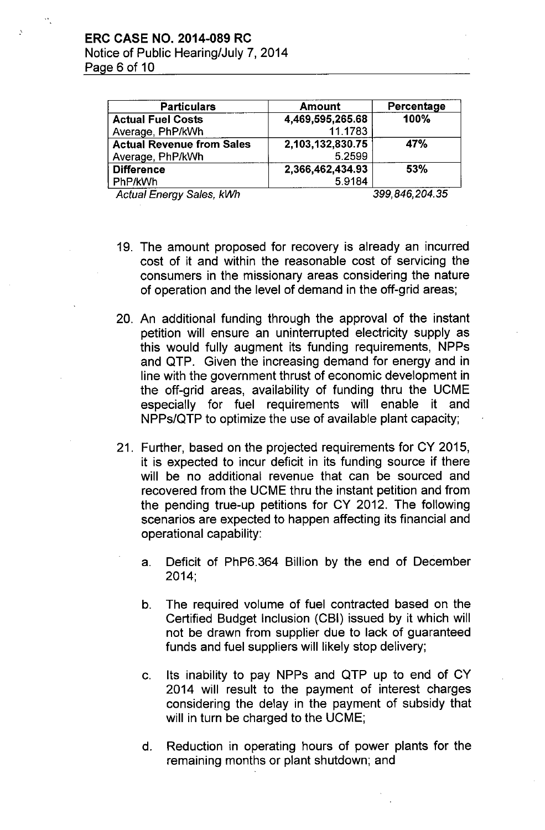| <b>Particulars</b>               | <b>Amount</b>    | Percentage   |
|----------------------------------|------------------|--------------|
| <b>Actual Fuel Costs</b>         | 4,469,595,265.68 | 100%         |
| Average, PhP/kWh                 | 11.1783          |              |
| <b>Actual Revenue from Sales</b> | 2,103,132,830.75 | <b>47%</b>   |
| Average, PhP/kWh                 | 5.2599           |              |
| <b>Difference</b>                | 2,366,462,434.93 | 53%          |
| PhP/kWh                          | 59184            |              |
| .<br><u>.</u>                    |                  | ____________ |

*Actual Energy Sales, kWh 399,846,204.35*

- 19. The amount proposed for recovery is already an incurred cost of it and within the reasonable cost of servicing the consumers in the missionary areas considering the nature of operation and the level of demand in the off-grid areas;
- 20. An additional funding through the approval of the instant petition will ensure an uninterrupted electricity supply as this would fully augment its funding requirements, NPPs and QTP. Given the increasing demand for energy and in line with the government thrust of economic development in the off-grid areas, availability of funding thru the UCME especially for fuel requirements will enable it and NPPs/QTP to optimize the use of available plant capacity;
- 21. Further, based on the projected requirements for CY 2015, it is expected to incur deficit in its funding source if there will be no additional revenue that can be sourced and recovered from the UCME thru the instant petition and from the pending true-up petitions for CY 2012. The following scenarios are expected to happen affecting its financial and operational capability:
	- a. Deficit of PhP6.364 Billion by the end of December 2014;
	- b. The required volume of fuel contracted based on the Certified Budget Inclusion (CBI) issued by it which will not be drawn from supplier due to lack of guaranteed funds and fuel suppliers will likely stop delivery;
	- c. Its inability to pay NPPs and QTP up to end of CY 2014 will result to the payment of interest charges considering the delay in the payment of subsidy that will in turn be charged to the UCME;
	- d. Reduction in operating hours of power plants for the remaining months or plant shutdown; and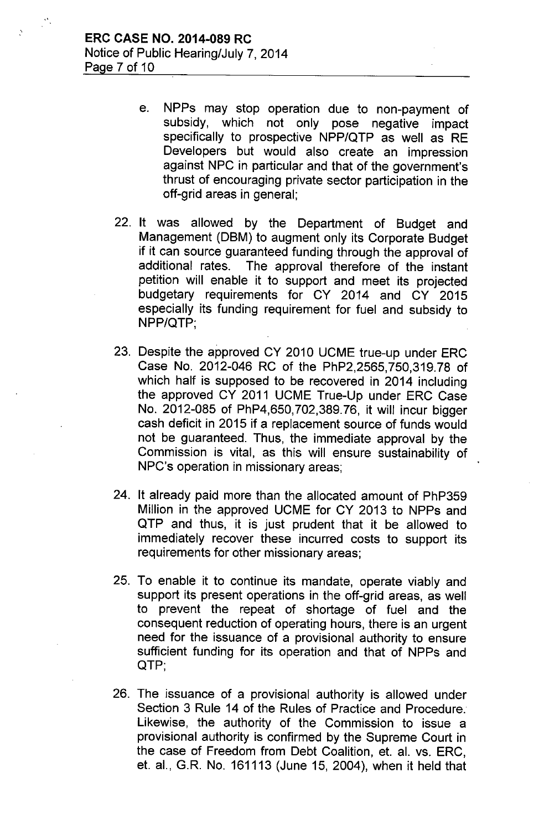- e. NPPs may stop operation due to non-payment of subsidy, which not only pose negative impact specifically to prospective NPP/QTP as well as RE Developers but would also create an impression against NPC in particular and that of the government's thrust of encouraging private sector participation in the off-grid areas in general;
- 22. It was allowed by the Department of Budget and Management (DBM) to augment only its Corporate Budget if it can source guaranteed funding through the approval of additional rates. The approval therefore of the instant The approval therefore of the instant petition will enable it to support and meet its projected budgetary requirements for CY 2014 and CY 2015 especially its funding requirement for fuel and subsidy to NPP/QTP;
- 23. Despite the approved CY 2010 UCME true-up under ERC Case No. 2012-046 RC of the PhP2,2565,750,319.78 of which half is supposed to be recovered in 2014 including the approved CY 2011 UCME True-Up under ERC Case No. 2012-085 of PhP4,650, 702,389. 76, it will incur bigger cash deficit in 2015 if a replacement source of funds would not be guaranteed. Thus, the immediate approval by the Commission is vital, as this will ensure sustainability of NPC's operation in missionary areas;
- 24. It already paid more than the allocated amount of PhP359 Million in the approved UCME for CY 2013 to NPPs and QTP and thus, it is just prudent that it be allowed to immediately recover these incurred costs to support its requirements for other missionary areas;
- 25. To enable it to continue its mandate, operate viably and support its present operations in the off-grid areas, as well to prevent the repeat of shortage of fuel and the consequent reduction of operating hours, there is an urgent need for the issuance of a provisional authority to ensure sufficient funding for its operation and that of NPPs and QTP;
- 26. The issuance of a provisional authority is allowed under Section 3 Rule 14 of the Rules of Practice and Procedure. Likewise, the authority of the Commission to issue a provisional authority is confirmed by the Supreme Court in the case of Freedom from Debt Coalition, et. al. vs. ERC, et. aI., *GR.* No. 161113 (June 15, 2004), when it held that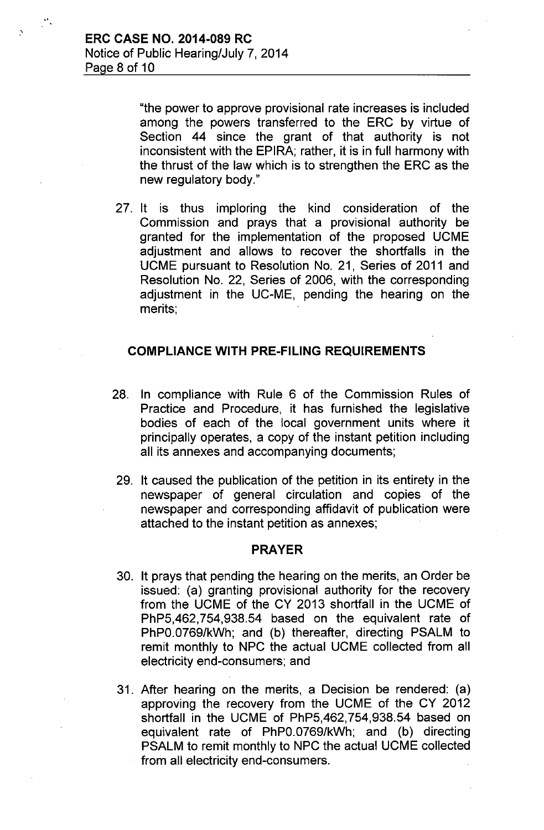.'

.'

"the power to approve provisional rate increases is included among the powers transferred to the ERC by virtue of Section 44 since the grant of that authority is not inconsistent with the EPIRA; rather, it is in full harmony with the thrust of the law which is to strengthen the ERC as the new regulatory body."

27. It is thus imploring the kind consideration of the Commission and prays that a provisional authority be granted for the implementation of the proposed UCME adjustment and allows to recover the shortfalls in the UCME pursuant to Resolution No. 21, Series of 2011 and Resolution No. 22, Series of 2006, with the corresponding adjustment in the UC-ME, pending the hearing on the merits;

### COMPLIANCE WITH PRE-FILING REQUIREMENTS

- 28. In compliance with Rule 6 of the Commission Rules of Practice and Procedure, it has furnished the legislative bodies of each of the local government units where it principally operates, a copy of the instant petition including all its annexes and accompanying documents;
- 29. It caused the publication of the petition in its entirety in the newspaper of general circulation and copies of the newspaper and corresponding affidavit of publication were attached to the instant petition as annexes;

### PRAYER

- 30. It prays that pending the hearing on the merits, an Order be issued: (a) granting provisional authority for the recovery from the UCME of the CY 2013 shortfall in the UCME of PhP5,462,754,938.54 based on the equivalent rate of PhPO.0769/kWh; and (b) thereafter, directing PSALM to remit monthly to NPC the actual UCME collected from all electricity end-consumers; and
- 31. After hearing on the merits, a Decision be rendered: (a) approving the recovery from the UCME of the CY 2012 shortfall in the UCME of PhP5,462,754,938.54 based on equivalent rate of PhPO.0769/kWh; and (b) directing PSALM to remit monthly to NPC the actual UCME collected from all electricity end-consumers.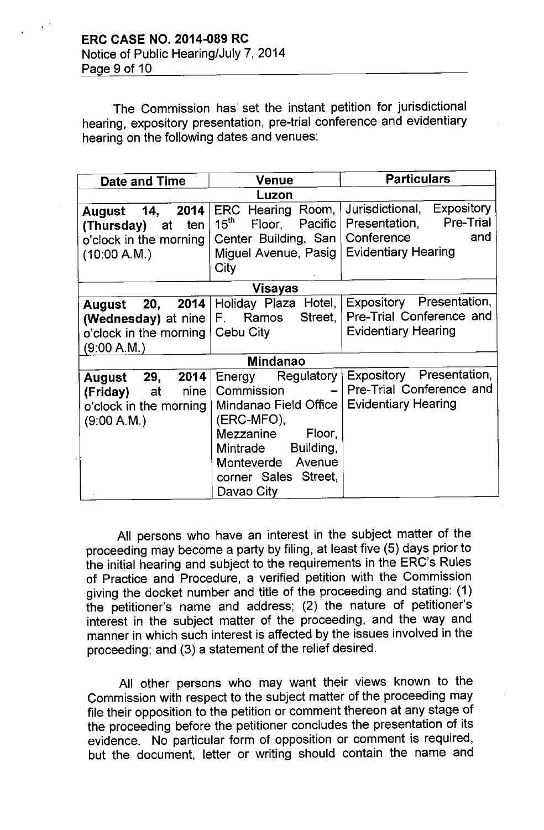The Commission has set the instant petition for jurisdictional hearing, expository presentation, pre-trial conference and evidentiary hearing on the following dates and venues:

| Date and Time                                                                                                                                                                                                                                                                 | <b>Venue</b>                                                                                                           | <b>Particulars</b>                                                                                                 |  |  |
|-------------------------------------------------------------------------------------------------------------------------------------------------------------------------------------------------------------------------------------------------------------------------------|------------------------------------------------------------------------------------------------------------------------|--------------------------------------------------------------------------------------------------------------------|--|--|
| Luzon                                                                                                                                                                                                                                                                         |                                                                                                                        |                                                                                                                    |  |  |
| 2014<br>14,<br>August<br>ten<br>(Thursday)<br>at<br>o'clock in the morning<br>(10:00 A.M.)                                                                                                                                                                                    | ERC Hearing Room,<br>$15^{\text{th}}$<br>Pacific  <br>Floor,<br>Center Building, San  <br>Miguel Avenue, Pasig<br>City | Jurisdictional, Expository<br><b>Pre-Trial</b><br>Presentation,<br>Conference<br>and<br><b>Evidentiary Hearing</b> |  |  |
| Visayas                                                                                                                                                                                                                                                                       |                                                                                                                        |                                                                                                                    |  |  |
| 20,<br>August<br>(Wednesday) at nine   F. Ramos<br>o'clock in the morning   Cebu City<br>(9:00 A.M.)                                                                                                                                                                          | 2014   Holiday Plaza Hotel,  <br>Street,                                                                               | Expository Presentation,<br>Pre-Trial Conference and<br><b>Evidentiary Hearing</b>                                 |  |  |
| <b>Mindanao</b>                                                                                                                                                                                                                                                               |                                                                                                                        |                                                                                                                    |  |  |
| Energy Regulatory<br>29,<br>2014<br>August<br>Commission<br>nine<br>(Friday)<br>at<br>Mindanao Field Office<br>o'clock in the morning<br>(ERC-MFO),<br>(9:00 A.M.)<br>Mezzanine<br>Floor,<br>Building,<br>Mintrade<br>Monteverde Avenue<br>corner Sales Street,<br>Davao City |                                                                                                                        | Expository Presentation,<br>- Pre-Trial Conference and<br><b>Evidentiary Hearing</b>                               |  |  |

All persons who have an interest in the subject matter of the proceeding may become a party by filing, at least five (5) days prior to the initial hearing and subject to the requirements in the ERC's Rules of Practice and Procedure, a verified petition with the Commission giving the docket number and title of the proceeding and stating: (1) the petitioner's name and address; (2) the nature of petitioner's interest in the subject matter of the proceeding, and the way and manner in which such interest is affected by the issues involved in the proceeding; and (3) a statement of the relief desired.

All other persons who may want their views known to the Commission with respect to the subject matter of the proceeding may file their opposition to the petition or comment thereon at any stage of the proceeding before the petitioner concludes the presentation of its evidence. No particular form of opposition or comment is required, but the document, letter or writing should contain the name and